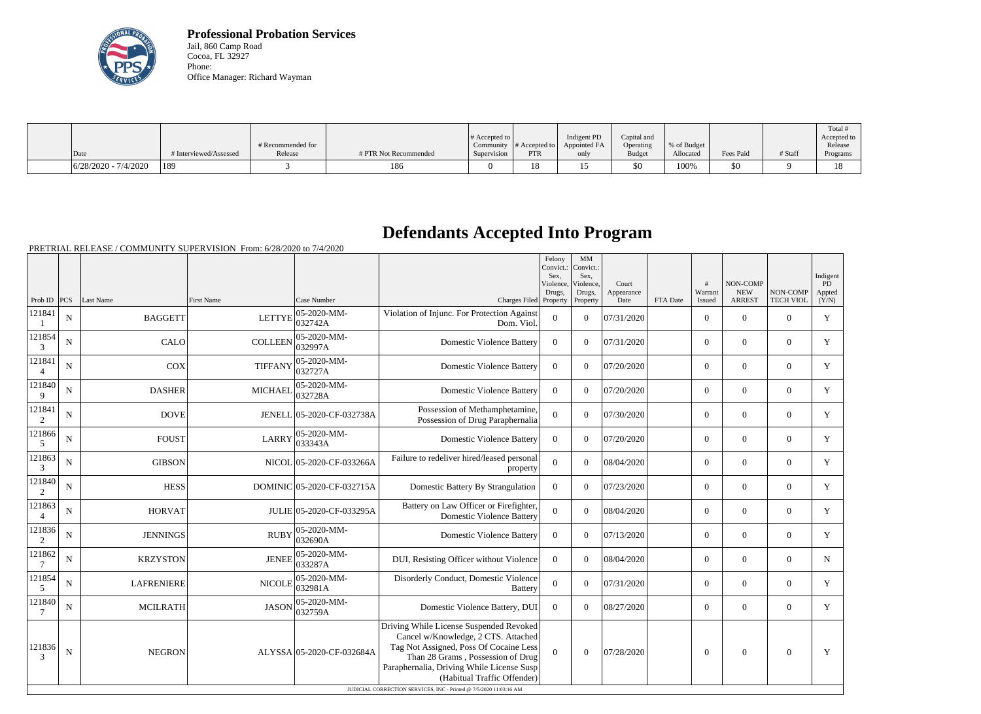

**Professional Probation Services** Jail, 860 Camp Road Cocoa, FL 32927 Phone: Office Manager: Richard Wayman

|                        |                        |                              |                       | # Accepted to $\vert$    |                             | Indigent PD          | Capital and                |                          |           |         | Total #<br>Accepted to |
|------------------------|------------------------|------------------------------|-----------------------|--------------------------|-----------------------------|----------------------|----------------------------|--------------------------|-----------|---------|------------------------|
| Date                   | # Interviewed/Assessed | # Recommended for<br>Release | # PTR Not Recommended | Community<br>Supervision | # Accepted to<br><b>PTR</b> | Appointed FA<br>only | Operating<br><b>Budget</b> | % of Budget<br>Allocated | Fees Paid | # Staff | Release<br>Programs    |
| $6/28/2020 - 7/4/2020$ | 189                    |                              | 186                   |                          | 1 O<br>10                   | ⊥ັ                   | \$0                        | 100%                     | \$0       |         |                        |

## **Defendants Accepted Into Program**

PRETRIAL RELEASE / COMMUNITY SUPERVISION From: 6/28/2020 to 7/4/2020

|                          |             |                   |                   |                            |                                                                                                                                                                                                                                                                                                                 | Felony<br>Convict.: Convict.:<br>Sex.<br>Violence.<br>Drugs, | MM<br>Sex.<br>Violence.<br>Drugs, | Court<br>Appearance |          | #<br>Warrant   | <b>NON-COMP</b><br><b>NEW</b> | NON-COMP         | Indigent<br>PD<br>Appted |
|--------------------------|-------------|-------------------|-------------------|----------------------------|-----------------------------------------------------------------------------------------------------------------------------------------------------------------------------------------------------------------------------------------------------------------------------------------------------------------|--------------------------------------------------------------|-----------------------------------|---------------------|----------|----------------|-------------------------------|------------------|--------------------------|
| Prob ID $ PCS $          |             | Last Name         | <b>First Name</b> | Case Number                | Charges Filed Property                                                                                                                                                                                                                                                                                          |                                                              | Property                          | Date                | FTA Date | Issued         | <b>ARREST</b>                 | <b>TECH VIOL</b> | (Y/N)                    |
| 121841                   | N           | <b>BAGGETT</b>    | <b>LETTYE</b>     | 05-2020-MM-<br>032742A     | Violation of Injunc. For Protection Against<br>Dom. Viol.                                                                                                                                                                                                                                                       | $\mathbf{0}$                                                 | $\Omega$                          | 07/31/2020          |          | $\overline{0}$ | $\boldsymbol{0}$              | $\overline{0}$   | Y                        |
| 121854<br>3              | N           | CALO              | <b>COLLEEN</b>    | 05-2020-MM-<br>032997A     | <b>Domestic Violence Battery</b>                                                                                                                                                                                                                                                                                | $\overline{0}$                                               | $\Omega$                          | 07/31/2020          |          | $\overline{0}$ | $\overline{0}$                | $\overline{0}$   | Y                        |
| 121841<br>$\overline{4}$ | N           | <b>COX</b>        | <b>TIFFANY</b>    | 05-2020-MM-<br>032727A     | <b>Domestic Violence Battery</b>                                                                                                                                                                                                                                                                                | $\overline{0}$                                               | $\Omega$                          | 07/20/2020          |          | $\overline{0}$ | $\overline{0}$                | $\mathbf{0}$     | Y                        |
| 121840<br>9              | $\mathbf N$ | <b>DASHER</b>     | <b>MICHAEL</b>    | 05-2020-MM-<br>032728A     | <b>Domestic Violence Battery</b>                                                                                                                                                                                                                                                                                | $\overline{0}$                                               | $\Omega$                          | 07/20/2020          |          | $\overline{0}$ | $\mathbf{0}$                  | $\mathbf{0}$     | Y                        |
| 121841<br>2              | N           | <b>DOVE</b>       |                   | JENELL 05-2020-CF-032738A  | Possession of Methamphetamine,<br>Possession of Drug Paraphernalia                                                                                                                                                                                                                                              | $\mathbf{0}$                                                 | $\Omega$                          | 07/30/2020          |          | $\overline{0}$ | $\overline{0}$                | $\overline{0}$   | Y                        |
| 121866<br>5              | N           | <b>FOUST</b>      | <b>LARRY</b>      | 05-2020-MM-<br>033343A     | <b>Domestic Violence Battery</b>                                                                                                                                                                                                                                                                                | $\overline{0}$                                               | $\theta$                          | 07/20/2020          |          | $\overline{0}$ | $\overline{0}$                | $\overline{0}$   | Y                        |
| 121863<br>3              | N           | <b>GIBSON</b>     |                   | NICOL 05-2020-CF-033266A   | Failure to redeliver hired/leased personal<br>property                                                                                                                                                                                                                                                          | $\overline{0}$                                               | $\theta$                          | 08/04/2020          |          | $\overline{0}$ | $\overline{0}$                | $\overline{0}$   | Y                        |
| 121840<br>2              | N           | <b>HESS</b>       |                   | DOMINIC 05-2020-CF-032715A | Domestic Battery By Strangulation                                                                                                                                                                                                                                                                               | $\theta$                                                     | $\theta$                          | 07/23/2020          |          | $\overline{0}$ | $\overline{0}$                | $\overline{0}$   | Y                        |
| 121863<br>$\overline{4}$ | N           | <b>HORVAT</b>     |                   | JULIE 05-2020-CF-033295A   | Battery on Law Officer or Firefighter,<br><b>Domestic Violence Battery</b>                                                                                                                                                                                                                                      | $\mathbf{0}$                                                 | $\Omega$                          | 08/04/2020          |          | $\overline{0}$ | $\boldsymbol{0}$              | $\overline{0}$   | Y                        |
| 121836<br>2              | N           | <b>JENNINGS</b>   | <b>RUBY</b>       | 05-2020-MM-<br>032690A     | <b>Domestic Violence Battery</b>                                                                                                                                                                                                                                                                                | $\overline{0}$                                               | $\Omega$                          | 07/13/2020          |          | $\overline{0}$ | $\mathbf{0}$                  | $\mathbf{0}$     | Y                        |
| 121862                   | N           | <b>KRZYSTON</b>   | <b>JENEE</b>      | 05-2020-MM-<br>033287A     | DUI, Resisting Officer without Violence                                                                                                                                                                                                                                                                         | $\overline{0}$                                               | $\Omega$                          | 08/04/2020          |          | $\overline{0}$ | $\boldsymbol{0}$              | $\overline{0}$   | $\mathbf N$              |
| 121854<br>5              | $\mathbf N$ | <b>LAFRENIERE</b> | <b>NICOLE</b>     | 05-2020-MM-<br>032981A     | Disorderly Conduct, Domestic Violence<br><b>Battery</b>                                                                                                                                                                                                                                                         | $\overline{0}$                                               | $\theta$                          | 07/31/2020          |          | $\overline{0}$ | $\mathbf{0}$                  | $\mathbf{0}$     | Y                        |
| 121840                   | $\mathbf N$ | <b>MCILRATH</b>   | <b>JASON</b>      | 05-2020-MM-<br>032759A     | Domestic Violence Battery, DUI                                                                                                                                                                                                                                                                                  | $\overline{0}$                                               | $\theta$                          | 08/27/2020          |          | $\overline{0}$ | $\overline{0}$                | $\overline{0}$   | Y                        |
| 121836                   | N           | <b>NEGRON</b>     |                   | ALYSSA 05-2020-CF-032684A  | Driving While License Suspended Revoked<br>Cancel w/Knowledge, 2 CTS. Attached<br>Tag Not Assigned, Poss Of Cocaine Less<br>Than 28 Grams, Possession of Drug<br>Paraphernalia, Driving While License Susp<br>(Habitual Traffic Offender)<br>JUDICIAL CORRECTION SERVICES, INC - Printed @ 7/5/2020 11:03:16 AM | $\Omega$                                                     | $\theta$                          | 07/28/2020          |          | $\overline{0}$ | $\overline{0}$                | $\boldsymbol{0}$ | Y                        |